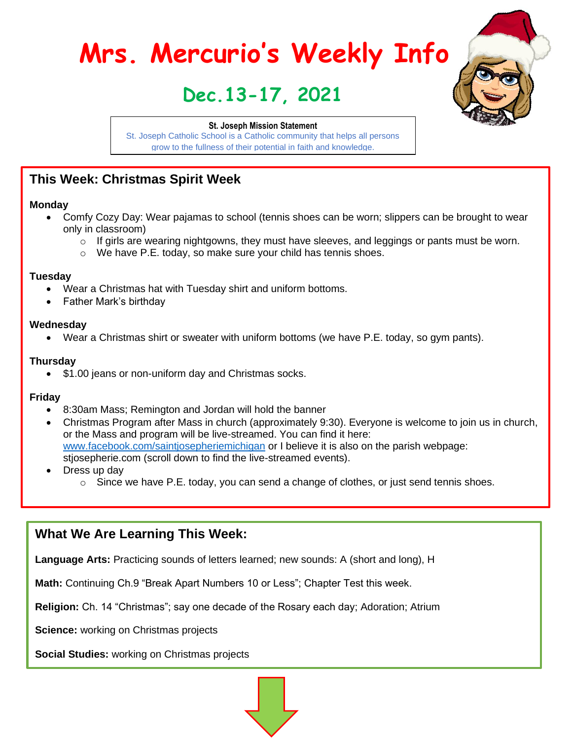# **Mrs. Mercurio's Weekly Info**

# **Dec.13-17, 2021**

#### **St. Joseph Mission Statement**

St. Joseph Catholic School is a Catholic community that helps all persons grow to the fullness of their potential in faith and knowledge.

# **This Week: Christmas Spirit Week**

#### **Monday**

- Comfy Cozy Day: Wear pajamas to school (tennis shoes can be worn; slippers can be brought to wear only in classroom)
	- $\circ$  If girls are wearing nightgowns, they must have sleeves, and leggings or pants must be worn.
	- o We have P.E. today, so make sure your child has tennis shoes.

#### **Tuesday**

- Wear a Christmas hat with Tuesday shirt and uniform bottoms.
- Father Mark's birthday

#### **Wednesday**

• Wear a Christmas shirt or sweater with uniform bottoms (we have P.E. today, so gym pants).

#### **Thursday**

• \$1.00 jeans or non-uniform day and Christmas socks.

#### **Friday**

- 8:30am Mass; Remington and Jordan will hold the banner
- Christmas Program after Mass in church (approximately 9:30). Everyone is welcome to join us in church, or the Mass and program will be live-streamed. You can find it here: [www.facebook.com/saintjosepheriemichigan](http://www.facebook.com/saintjosepheriemichigan) or I believe it is also on the parish webpage: stjosepherie.com (scroll down to find the live-streamed events).
- Dress up day
	- $\circ$  Since we have P.E. today, you can send a change of clothes, or just send tennis shoes.

# **What We Are Learning This Week:**

**Language Arts:** Practicing sounds of letters learned; new sounds: A (short and long), H

**Math:** Continuing Ch.9 "Break Apart Numbers 10 or Less"; Chapter Test this week.

**Religion:** Ch. 14 "Christmas"; say one decade of the Rosary each day; Adoration; Atrium

**Science:** working on Christmas projects

**Social Studies:** working on Christmas projects